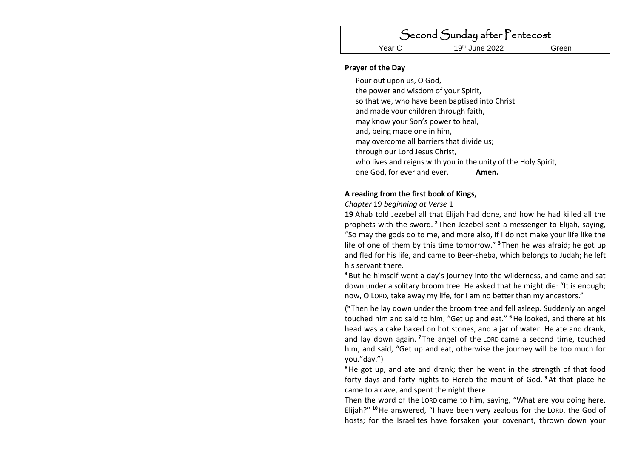Second Sunday after Pentecost Year C 19<sup>th</sup> June 2022 Green

## **Prayer of the Day**

Pour out upon us, O God, the power and wisdom of your Spirit, so that we, who have been baptised into Christ and made your children through faith, may know your Son's power to heal, and, being made one in him, may overcome all barriers that divide us; through our Lord Jesus Christ, who lives and reigns with you in the unity of the Holy Spirit. one God, for ever and ever. **Amen.**

# **A reading from the first book of Kings,**

*Chapter* 19 *beginning at Verse* 1

**19** Ahab told Jezebel all that Elijah had done, and how he had killed all the prophets with the sword. **<sup>2</sup>** Then Jezebel sent a messenger to Elijah, saying, "So may the gods do to me, and more also, if I do not make your life like the life of one of them by this time tomorrow." **<sup>3</sup>** Then he was afraid; he got up and fled for his life, and came to Beer-sheba, which belongs to Judah; he left his servant there.

**<sup>4</sup>** But he himself went a day's journey into the wilderness, and came and sat down under a solitary broom tree. He asked that he might die: "It is enough; now, O LORD, take away my life, for I am no better than my ancestors."

( **<sup>5</sup>** Then he lay down under the broom tree and fell asleep. Suddenly an angel touched him and said to him, "Get up and eat." **<sup>6</sup>**He looked, and there at his head was a cake baked on hot stones, and a jar of water. He ate and drank, and lay down again. **<sup>7</sup>** The angel of the LORD came a second time, touched him, and said, "Get up and eat, otherwise the journey will be too much for you."day.")

**<sup>8</sup>**He got up, and ate and drank; then he went in the strength of that food forty days and forty nights to Horeb the mount of God. **<sup>9</sup>**At that place he came to a cave, and spent the night there.

Then the word of the LORD came to him, saying, "What are you doing here, Elijah?" **<sup>10</sup>**He answered, "I have been very zealous for the LORD, the God of hosts; for the Israelites have forsaken your covenant, thrown down your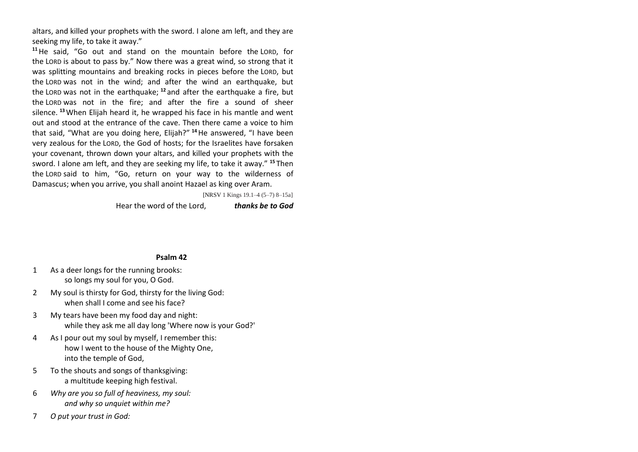altars, and killed your prophets with the sword. I alone am left, and they are seeking my life, to take it away."

**<sup>11</sup>**He said, "Go out and stand on the mountain before the LORD, for the LORD is about to pass by." Now there was a great wind, so strong that it was splitting mountains and breaking rocks in pieces before the LORD, but the LORD was not in the wind; and after the wind an earthquake, but the LORD was not in the earthquake; **<sup>12</sup>** and after the earthquake a fire, but the LORD was not in the fire; and after the fire a sound of sheer silence. **<sup>13</sup>**When Elijah heard it, he wrapped his face in his mantle and went out and stood at the entrance of the cave. Then there came a voice to him that said, "What are you doing here, Elijah?" **<sup>14</sup>**He answered, "I have been very zealous for the LORD, the God of hosts; for the Israelites have forsaken your covenant, thrown down your altars, and killed your prophets with the sword. I alone am left, and they are seeking my life, to take it away." **<sup>15</sup>** Then the LORD said to him, "Go, return on your way to the wilderness of Damascus; when you arrive, you shall anoint Hazael as king over Aram.

[NRSV 1 Kings 19.1–4 (5–7) 8–15a]

Hear the word of the Lord, *thanks be to God*

### **Psalm 42**

- 1 As a deer longs for the running brooks: so longs my soul for you, O God.
- 2 My soul is thirsty for God, thirsty for the living God: when shall I come and see his face?
- 3 My tears have been my food day and night: while they ask me all day long 'Where now is your God?'
- 4 As I pour out my soul by myself, I remember this: how I went to the house of the Mighty One, into the temple of God,
- 5 To the shouts and songs of thanksgiving: a multitude keeping high festival.
- 6 *Why are you so full of heaviness, my soul: and why so unquiet within me?*
- 7 *O put your trust in God:*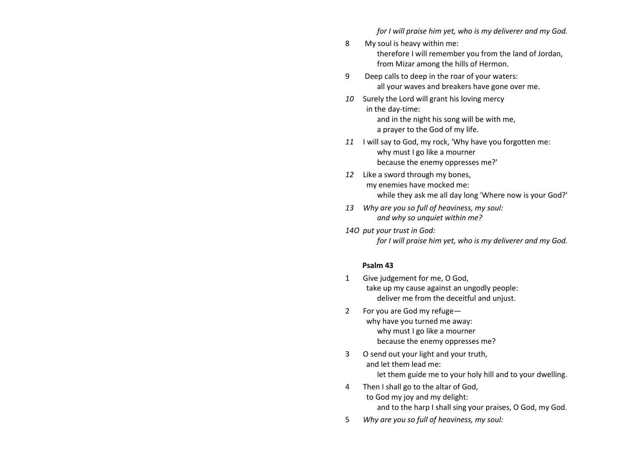*for I will praise him yet, who is my deliverer and my God.*

- 8 My soul is heavy within me: therefore I will remember you from the land of Jordan, from Mizar among the hills of Hermon.
- 9 Deep calls to deep in the roar of your waters: all your waves and breakers have gone over me.
- *10* Surely the Lord will grant his loving mercy in the day-time: and in the night his song will be with me, a prayer to the God of my life.
- *11* I will say to God, my rock, 'Why have you forgotten me: why must I go like a mourner because the enemy oppresses me?'
- *12* Like a sword through my bones, my enemies have mocked me: while they ask me all day long 'Where now is your God?'
- *13 Why are you so full of heaviness, my soul: and why so unquiet within me?*
- *14O put your trust in God: for I will praise him yet, who is my deliverer and my God.*

## **Psalm 43**

- 1 Give judgement for me, O God, take up my cause against an ungodly people: deliver me from the deceitful and unjust.
- 2 For you are God my refuge why have you turned me away: why must I go like a mourner because the enemy oppresses me?
- 3 O send out your light and your truth, and let them lead me: let them guide me to your holy hill and to your dwelling.
- 4 Then I shall go to the altar of God, to God my joy and my delight: and to the harp I shall sing your praises, O God, my God.
- 5 *Why are you so full of heaviness, my soul:*